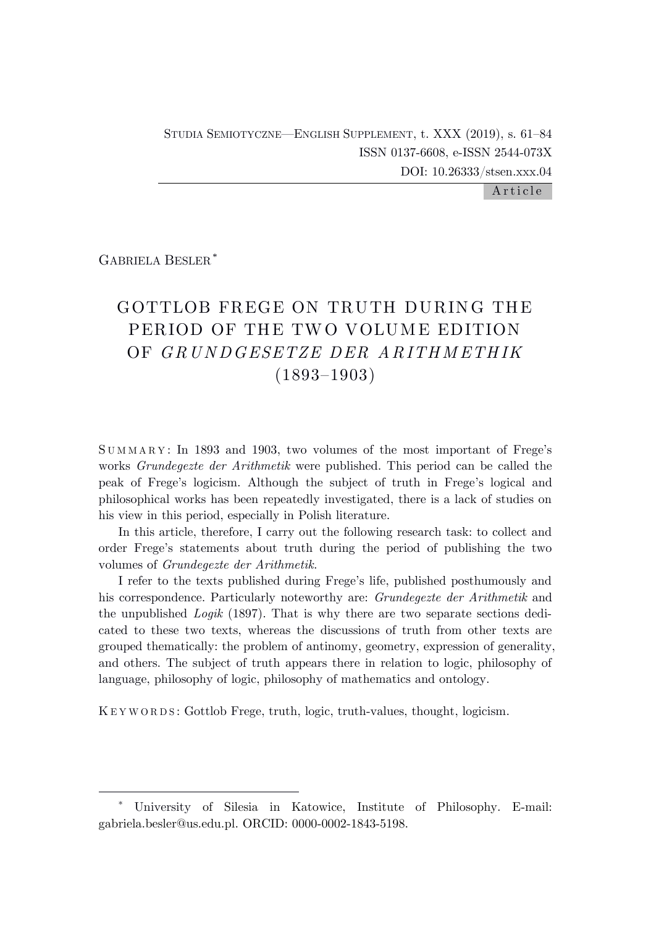### Article

GABRIELA BESLER \*

# GOTTLOB FREGE ON TRUTH DURING THE PERIOD OF THE TWO VOLUME EDITION OF *G R U N DGESETZE DER A R ITH M ETH IK* (1893–1903)

S U M M A R Y : In 1893 and 1903, two volumes of the most important of Frege's works *Grundegezte der Arithmetik* were published. This period can be called the peak of Frege's logicism. Although the subject of truth in Frege's logical and philosophical works has been repeatedly investigated, there is a lack of studies on his view in this period, especially in Polish literature.

In this article, therefore, I carry out the following research task: to collect and order Frege's statements about truth during the period of publishing the two volumes of *Grundegezte der Arithmetik*.

I refer to the texts published during Frege's life, published posthumously and his correspondence. Particularly noteworthy are: *Grundegezte der Arithmetik* and the unpublished *Logik* (1897). That is why there are two separate sections dedicated to these two texts, whereas the discussions of truth from other texts are grouped thematically: the problem of antinomy, geometry, expression of generality, and others. The subject of truth appears there in relation to logic, philosophy of language, philosophy of logic, philosophy of mathematics and ontology.

K E Y W O R D S : Gottlob Frege, truth, logic, truth-values, thought, logicism.

<sup>\*</sup> University of Silesia in Katowice, Institute of Philosophy. E-mail: gabriela.besler@us.edu.pl. ORCID: 0000-0002-1843-5198.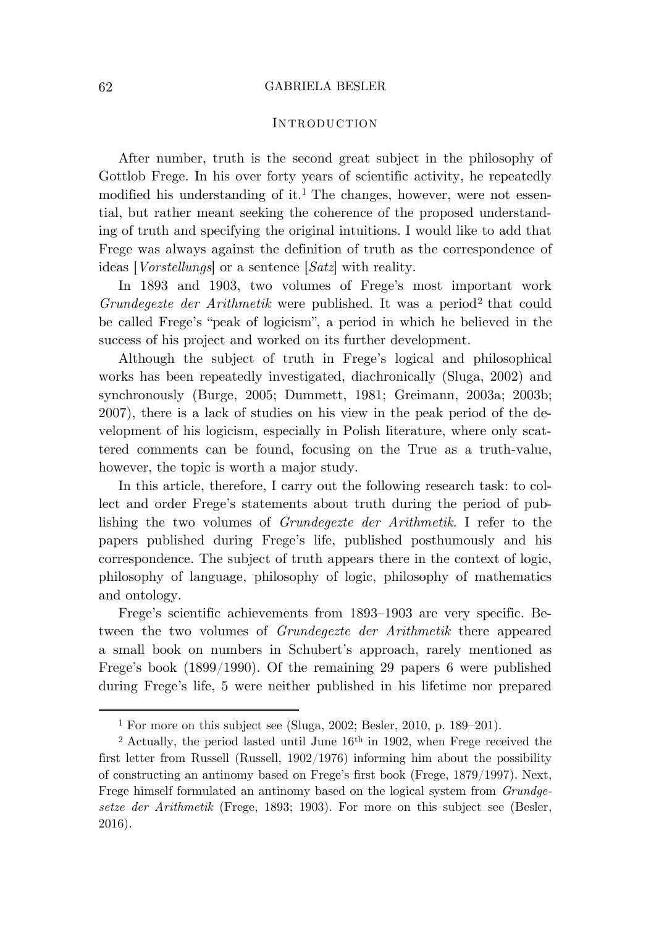## **INTRODUCTION**

After number, truth is the second great subject in the philosophy of Gottlob Frege. In his over forty years of scientific activity, he repeatedly modified his understanding of it.<sup>1</sup> The changes, however, were not essential, but rather meant seeking the coherence of the proposed understanding of truth and specifying the original intuitions. I would like to add that Frege was always against the definition of truth as the correspondence of ideas [*Vorstellungs*] or a sentence [*Satz*] with reality.

In 1893 and 1903, two volumes of Frege's most important work *Grundegezte der Arithmetik* were published. It was a period<sup>2</sup> that could be called Frege's "peak of logicism", a period in which he believed in the success of his project and worked on its further development.

Although the subject of truth in Frege's logical and philosophical works has been repeatedly investigated, diachronically (Sluga, 2002) and synchronously (Burge, 2005; Dummett, 1981; Greimann, 2003a; 2003b; 2007), there is a lack of studies on his view in the peak period of the development of his logicism, especially in Polish literature, where only scattered comments can be found, focusing on the True as a truth-value, however, the topic is worth a major study.

In this article, therefore, I carry out the following research task: to collect and order Frege's statements about truth during the period of publishing the two volumes of *Grundegezte der Arithmetik*. I refer to the papers published during Frege's life, published posthumously and his correspondence. The subject of truth appears there in the context of logic, philosophy of language, philosophy of logic, philosophy of mathematics and ontology.

Frege's scientific achievements from 1893–1903 are very specific. Between the two volumes of *Grundegezte der Arithmetik* there appeared a small book on numbers in Schubert's approach, rarely mentioned as Frege's book (1899/1990). Of the remaining 29 papers 6 were published during Frege's life, 5 were neither published in his lifetime nor prepared

<sup>1</sup> For more on this subject see (Sluga, 2002; Besler, 2010, p. 189–201).

<sup>&</sup>lt;sup>2</sup> Actually, the period lasted until June  $16<sup>th</sup>$  in 1902, when Frege received the first letter from Russell (Russell, 1902/1976) informing him about the possibility of constructing an antinomy based on Frege's first book (Frege, 1879/1997). Next, Frege himself formulated an antinomy based on the logical system from *Grundgesetze der Arithmetik* (Frege, 1893; 1903). For more on this subject see (Besler, 2016).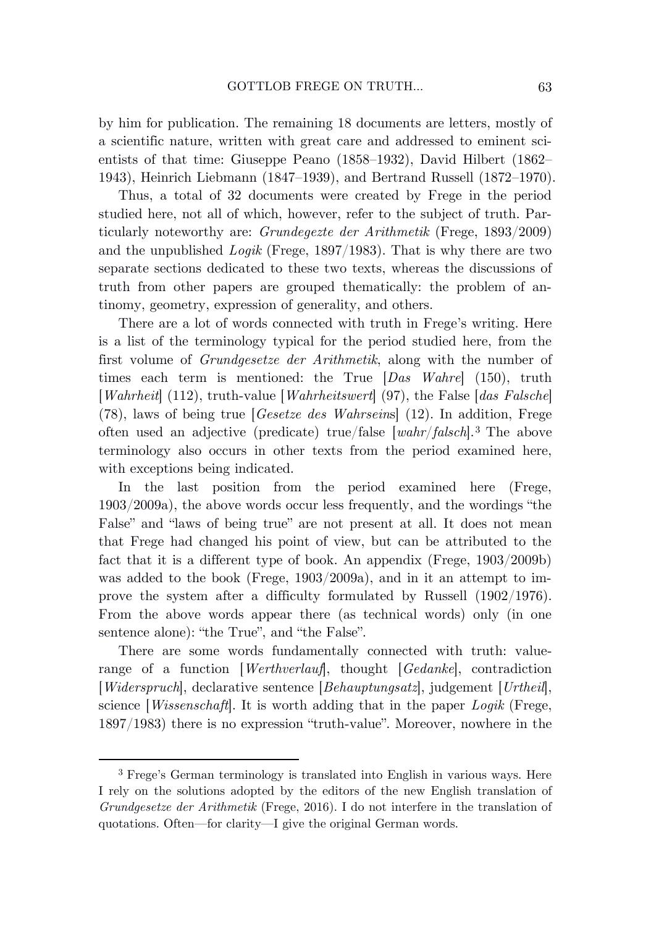by him for publication. The remaining 18 documents are letters, mostly of a scientific nature, written with great care and addressed to eminent scientists of that time: Giuseppe Peano (1858–1932), David Hilbert (1862– 1943), Heinrich Liebmann (1847–1939), and Bertrand Russell (1872–1970).

Thus, a total of 32 documents were created by Frege in the period studied here, not all of which, however, refer to the subject of truth. Particularly noteworthy are: *Grundegezte der Arithmetik* (Frege, 1893/2009) and the unpublished *Logik* (Frege, 1897/1983). That is why there are two separate sections dedicated to these two texts, whereas the discussions of truth from other papers are grouped thematically: the problem of antinomy, geometry, expression of generality, and others.

There are a lot of words connected with truth in Frege's writing. Here is a list of the terminology typical for the period studied here, from the first volume of *Grundgesetze der Arithmetik*, along with the number of times each term is mentioned: the True [*Das Wahre*] (150), truth [*Wahrheit*] (112), truth-value [*Wahrheitswert*] (97), the False [*das Falsche*] (78), laws of being true [*Gesetze des Wahrsein*s] (12). In addition, Frege often used an adjective (predicate) true/false [*wahr*/*falsch*]. <sup>3</sup> The above terminology also occurs in other texts from the period examined here, with exceptions being indicated.

In the last position from the period examined here (Frege, 1903/2009a), the above words occur less frequently, and the wordings "the False" and "laws of being true" are not present at all. It does not mean that Frege had changed his point of view, but can be attributed to the fact that it is a different type of book. An appendix (Frege, 1903/2009b) was added to the book (Frege, 1903/2009a), and in it an attempt to improve the system after a difficulty formulated by Russell (1902/1976). From the above words appear there (as technical words) only (in one sentence alone): "the True", and "the False".

There are some words fundamentally connected with truth: valuerange of a function [*Werthverlauf*], thought [*Gedanke*], contradiction [*Widerspruch*], declarative sentence [*Behauptungsatz*], judgement [*Urtheil*], science [*Wissenschaft*]. It is worth adding that in the paper *Logik* (Frege, 1897/1983) there is no expression "truth-value". Moreover, nowhere in the

<sup>3</sup> Frege's German terminology is translated into English in various ways. Here I rely on the solutions adopted by the editors of the new English translation of *Grundgesetze der Arithmetik* (Frege, 2016). I do not interfere in the translation of quotations. Often—for clarity—I give the original German words.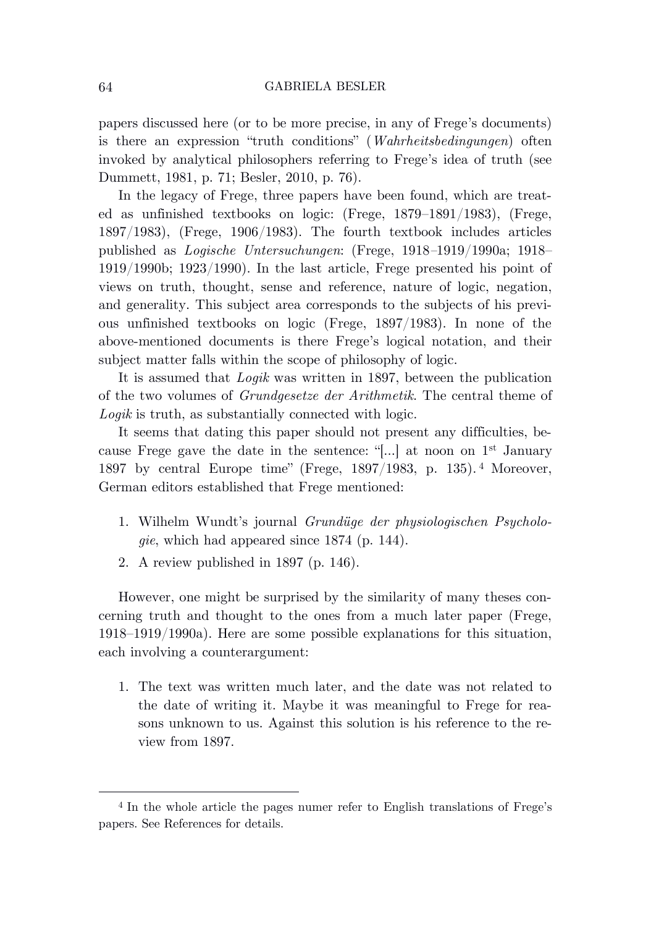papers discussed here (or to be more precise, in any of Frege's documents) is there an expression "truth conditions" (*Wahrheitsbedingungen*) often invoked by analytical philosophers referring to Frege's idea of truth (see Dummett, 1981, p. 71; Besler, 2010, p. 76).

In the legacy of Frege, three papers have been found, which are treated as unfinished textbooks on logic: (Frege, 1879–1891/1983), (Frege, 1897/1983), (Frege, 1906/1983). The fourth textbook includes articles published as *Logische Untersuchungen*: (Frege, 1918*–*1919/1990a; 1918– 1919/1990b; 1923/1990). In the last article, Frege presented his point of views on truth, thought, sense and reference, nature of logic, negation, and generality. This subject area corresponds to the subjects of his previous unfinished textbooks on logic (Frege, 1897/1983). In none of the above-mentioned documents is there Frege's logical notation, and their subject matter falls within the scope of philosophy of logic.

It is assumed that *Logik* was written in 1897, between the publication of the two volumes of *Grundgesetze der Arithmetik*. The central theme of *Logik* is truth, as substantially connected with logic.

It seems that dating this paper should not present any difficulties, because Frege gave the date in the sentence: "[...] at noon on  $1<sup>st</sup>$  January 1897 by central Europe time" (Frege, 1897/1983, p. 135). <sup>4</sup> Moreover, German editors established that Frege mentioned:

- 1. Wilhelm Wundt's journal *Grundüge der physiologischen Psychologie*, which had appeared since 1874 (p. 144).
- 2. A review published in 1897 (p. 146).

However, one might be surprised by the similarity of many theses concerning truth and thought to the ones from a much later paper (Frege, 1918–1919/1990a). Here are some possible explanations for this situation, each involving a counterargument:

1. The text was written much later, and the date was not related to the date of writing it. Maybe it was meaningful to Frege for reasons unknown to us. Against this solution is his reference to the review from 1897.

<sup>4</sup> In the whole article the pages numer refer to English translations of Frege's papers. See References for details.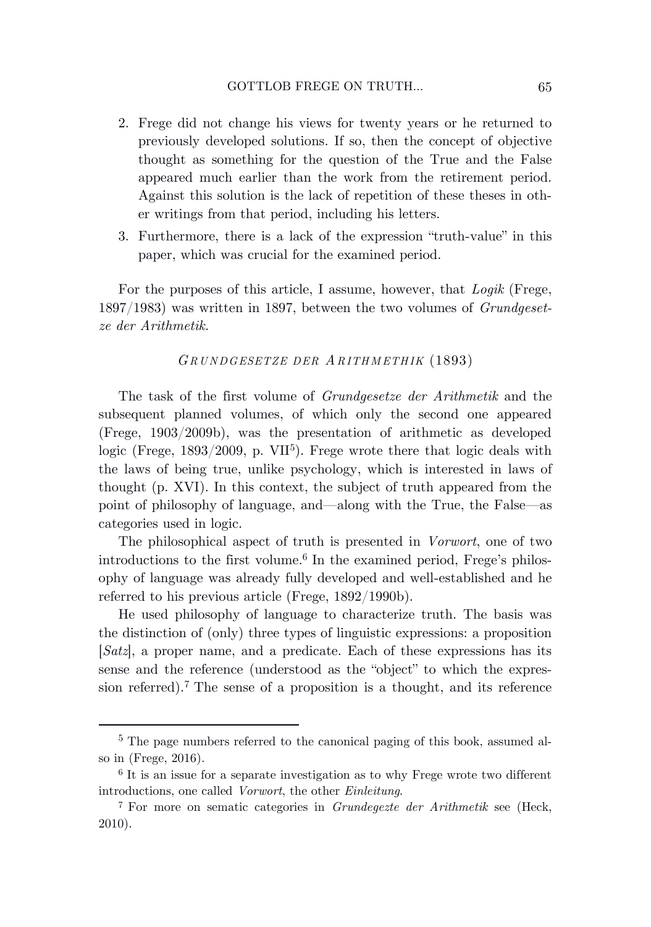- 2. Frege did not change his views for twenty years or he returned to previously developed solutions. If so, then the concept of objective thought as something for the question of the True and the False appeared much earlier than the work from the retirement period. Against this solution is the lack of repetition of these theses in other writings from that period, including his letters.
- 3. Furthermore, there is a lack of the expression "truth-value" in this paper, which was crucial for the examined period.

For the purposes of this article, I assume, however, that *Logik* (Frege, 1897/1983) was written in 1897, between the two volumes of *Grundgesetze der Arithmetik*.

### *GR U N DGESETZE DER AR ITH M ETH IK* (1893)

The task of the first volume of *Grundgesetze der Arithmetik* and the subsequent planned volumes, of which only the second one appeared (Frege, 1903/2009b), was the presentation of arithmetic as developed logic (Frege, 1893/2009, p. VII<sup>5</sup>). Frege wrote there that logic deals with the laws of being true, unlike psychology, which is interested in laws of thought (p. XVI). In this context, the subject of truth appeared from the point of philosophy of language, and—along with the True, the False—as categories used in logic.

The philosophical aspect of truth is presented in *Vorwort*, one of two introductions to the first volume. 6 In the examined period, Frege's philosophy of language was already fully developed and well-established and he referred to his previous article (Frege, 1892/1990b).

He used philosophy of language to characterize truth. The basis was the distinction of (only) three types of linguistic expressions: a proposition [*Satz*], a proper name, and a predicate. Each of these expressions has its sense and the reference (understood as the "object" to which the expression referred). <sup>7</sup> The sense of a proposition is a thought, and its reference

<sup>5</sup> The page numbers referred to the canonical paging of this book, assumed also in (Frege, 2016).

<sup>&</sup>lt;sup>6</sup> It is an issue for a separate investigation as to why Frege wrote two different introductions, one called *Vorwort*, the other *Einleitung*.

<sup>7</sup> For more on sematic categories in *Grundegezte der Arithmetik* see (Heck, 2010).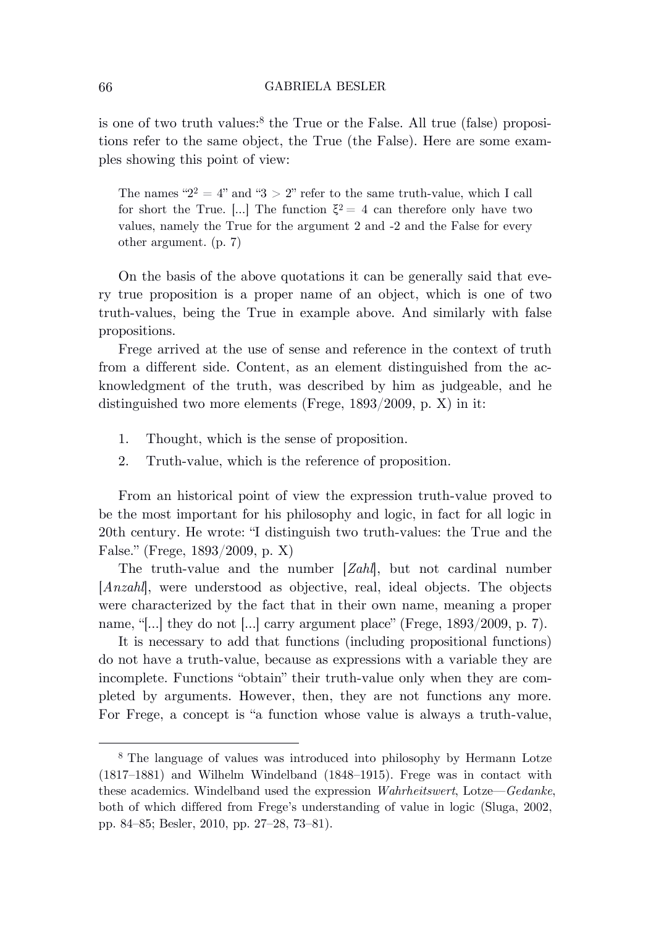is one of two truth values: 8 the True or the False. All true (false) propositions refer to the same object, the True (the False). Here are some examples showing this point of view:

The names " $2^2 = 4$ " and " $3 > 2$ " refer to the same truth-value, which I call for short the True. [...] The function  $\xi^2 = 4$  can therefore only have two values, namely the True for the argument 2 and -2 and the False for every other argument. (p. 7)

On the basis of the above quotations it can be generally said that every true proposition is a proper name of an object, which is one of two truth-values, being the True in example above. And similarly with false propositions.

Frege arrived at the use of sense and reference in the context of truth from a different side. Content, as an element distinguished from the acknowledgment of the truth, was described by him as judgeable, and he distinguished two more elements (Frege, 1893/2009, p. X) in it:

- 1. Thought, which is the sense of proposition.
- 2. Truth-value, which is the reference of proposition.

From an historical point of view the expression truth-value proved to be the most important for his philosophy and logic, in fact for all logic in 20th century. He wrote: "I distinguish two truth-values: the True and the False." (Frege, 1893/2009, p. X)

The truth-value and the number [*Zahl*], but not cardinal number [*Anzahl*], were understood as objective, real, ideal objects. The objects were characterized by the fact that in their own name, meaning a proper name, "[…] they do not […] carry argument place" (Frege, 1893/2009, p. 7).

It is necessary to add that functions (including propositional functions) do not have a truth-value, because as expressions with a variable they are incomplete. Functions "obtain" their truth-value only when they are completed by arguments. However, then, they are not functions any more. For Frege, a concept is "a function whose value is always a truth-value,

<sup>8</sup> The language of values was introduced into philosophy by Hermann Lotze (1817–1881) and Wilhelm Windelband (1848–1915). Frege was in contact with these academics. Windelband used the expression *Wahrheitswert*, Lotze—*Gedanke*, both of which differed from Frege's understanding of value in logic (Sluga, 2002, pp. 84–85; Besler, 2010, pp. 27–28, 73–81).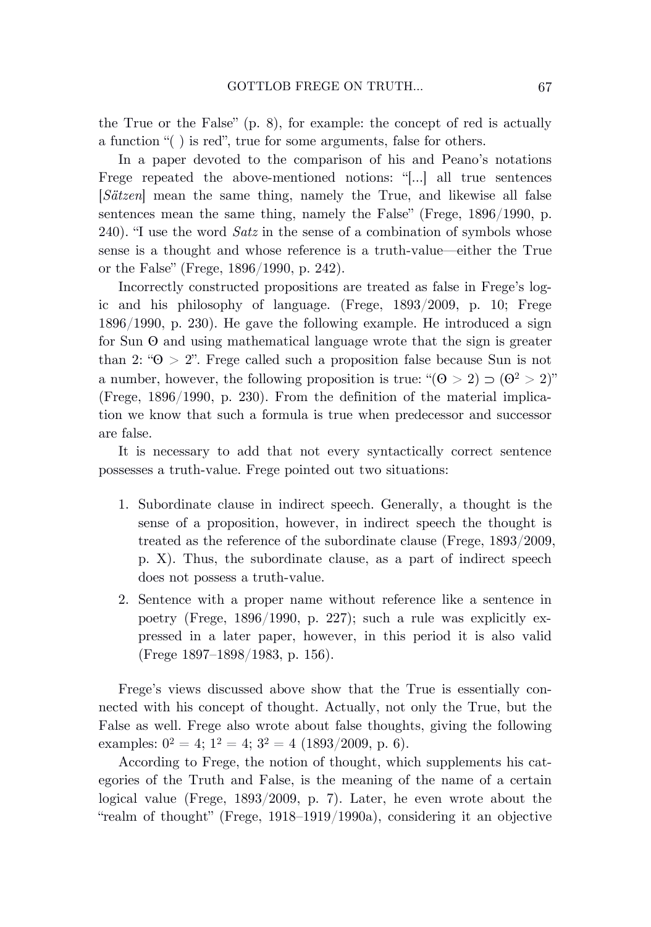the True or the False" (p. 8), for example: the concept of red is actually a function "( ) is red", true for some arguments, false for others.

In a paper devoted to the comparison of his and Peano's notations Frege repeated the above-mentioned notions: "[…] all true sentences [*Sätzen*] mean the same thing, namely the True, and likewise all false sentences mean the same thing, namely the False" (Frege, 1896/1990, p. 240). "I use the word *Satz* in the sense of a combination of symbols whose sense is a thought and whose reference is a truth-value—either the True or the False" (Frege, 1896/1990, p. 242).

Incorrectly constructed propositions are treated as false in Frege's logic and his philosophy of language. (Frege, 1893/2009, p. 10; Frege 1896/1990, p. 230). He gave the following example. He introduced a sign for Sun ʘ and using mathematical language wrote that the sign is greater than 2: " $\Theta > 2$ ". Frege called such a proposition false because Sun is not a number, however, the following proposition is true: " $(0 > 2) \supset (0^2 > 2)$ " (Frege, 1896/1990, p. 230). From the definition of the material implication we know that such a formula is true when predecessor and successor are false.

It is necessary to add that not every syntactically correct sentence possesses a truth-value. Frege pointed out two situations:

- 1. Subordinate clause in indirect speech. Generally, a thought is the sense of a proposition, however, in indirect speech the thought is treated as the reference of the subordinate clause (Frege, 1893/2009, p. X). Thus, the subordinate clause, as a part of indirect speech does not possess a truth-value.
- 2. Sentence with a proper name without reference like a sentence in poetry (Frege, 1896/1990, p. 227); such a rule was explicitly expressed in a later paper, however, in this period it is also valid (Frege 1897–1898/1983, p. 156).

Frege's views discussed above show that the True is essentially connected with his concept of thought. Actually, not only the True, but the False as well. Frege also wrote about false thoughts, giving the following examples:  $0^2 = 4$ ;  $1^2 = 4$ ;  $3^2 = 4$  (1893/2009, p. 6).

According to Frege, the notion of thought, which supplements his categories of the Truth and False, is the meaning of the name of a certain logical value (Frege, 1893/2009, p. 7). Later, he even wrote about the "realm of thought" (Frege, 1918–1919/1990a), considering it an objective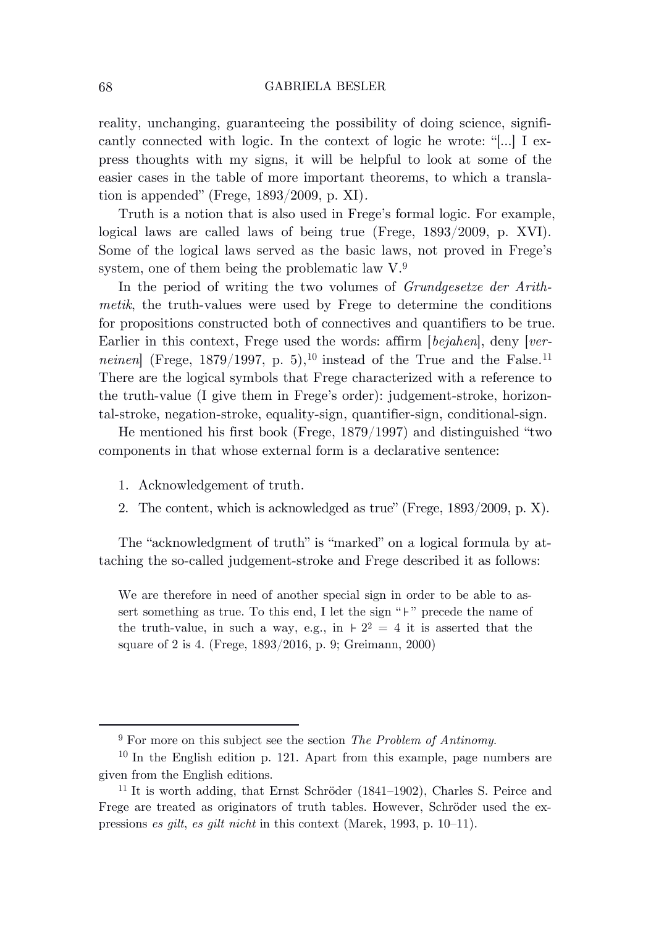reality, unchanging, guaranteeing the possibility of doing science, significantly connected with logic. In the context of logic he wrote: "[…] I express thoughts with my signs, it will be helpful to look at some of the easier cases in the table of more important theorems, to which a translation is appended" (Frege, 1893/2009, p. XI)*.*

Truth is a notion that is also used in Frege's formal logic. For example, logical laws are called laws of being true (Frege, 1893/2009, p. XVI). Some of the logical laws served as the basic laws, not proved in Frege's system, one of them being the problematic law  $V^9$ .

In the period of writing the two volumes of *Grundgesetze der Arithmetik*, the truth-values were used by Frege to determine the conditions for propositions constructed both of connectives and quantifiers to be true. Earlier in this context, Frege used the words: affirm [*bejahen*], deny [*verneinen* (Frege, 1879/1997, p. 5), <sup>10</sup> instead of the True and the False.<sup>11</sup> There are the logical symbols that Frege characterized with a reference to the truth-value (I give them in Frege's order): judgement-stroke, horizontal-stroke, negation-stroke, equality-sign, quantifier-sign, conditional-sign.

He mentioned his first book (Frege, 1879/1997) and distinguished "two components in that whose external form is a declarative sentence:

- 1. Acknowledgement of truth.
- 2. The content, which is acknowledged as true" (Frege, 1893/2009, p. X).

The "acknowledgment of truth" is "marked" on a logical formula by attaching the so-called judgement-stroke and Frege described it as follows:

We are therefore in need of another special sign in order to be able to assert something as true. To this end, I let the sign " $\vdash$ " precede the name of the truth-value, in such a way, e.g., in  $\frac{1}{2^2} = 4$  it is asserted that the square of 2 is 4. (Frege, 1893/2016, p. 9; Greimann, 2000)

<sup>9</sup> For more on this subject see the section *The Problem of Antinomy*.

<sup>10</sup> In the English edition p. 121. Apart from this example, page numbers are given from the English editions.

<sup>11</sup> It is worth adding, that Ernst Schröder (1841–1902), Charles S. Peirce and Frege are treated as originators of truth tables. However, Schröder used the expressions *es gilt*, *es gilt nicht* in this context (Marek, 1993, p. 10–11).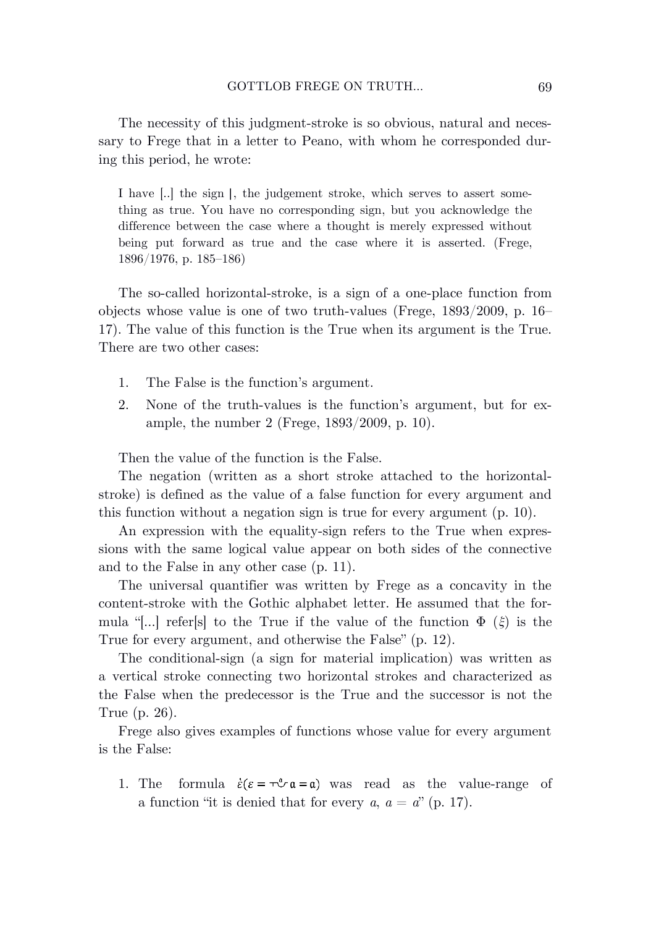The necessity of this judgment-stroke is so obvious, natural and necessary to Frege that in a letter to Peano, with whom he corresponded during this period, he wrote:

I have [..] the sign |, the judgement stroke, which serves to assert something as true. You have no corresponding sign, but you acknowledge the difference between the case where a thought is merely expressed without being put forward as true and the case where it is asserted. (Frege, 1896/1976, p. 185–186)

The so-called horizontal-stroke, is a sign of a one-place function from objects whose value is one of two truth-values (Frege, 1893/2009, p. 16– 17). The value of this function is the True when its argument is the True. There are two other cases:

- 1. The False is the function's argument.
- 2. None of the truth-values is the function's argument, but for example, the number 2 (Frege, 1893/2009, p. 10).

Then the value of the function is the False.

The negation (written as a short stroke attached to the horizontalstroke) is defined as the value of a false function for every argument and this function without a negation sign is true for every argument (p. 10).

An expression with the equality-sign refers to the True when expressions with the same logical value appear on both sides of the connective and to the False in any other case (p. 11).

The universal quantifier was written by Frege as a concavity in the content-stroke with the Gothic alphabet letter. He assumed that the formula "[…] refer[s] to the True if the value of the function Φ (*ξ*) is the True for every argument, and otherwise the False" (p. 12).

The conditional-sign (a sign for material implication) was written as a vertical stroke connecting two horizontal strokes and characterized as the False when the predecessor is the True and the successor is not the True (p. 26).

Frege also gives examples of functions whose value for every argument is the False:

1. The formula  $\dot{\epsilon}(\epsilon = \tau \mathcal{L} \mathfrak{a} = \mathfrak{a})$  was read as the value-range of a function "it is denied that for every  $a, a = d$ " (p. 17).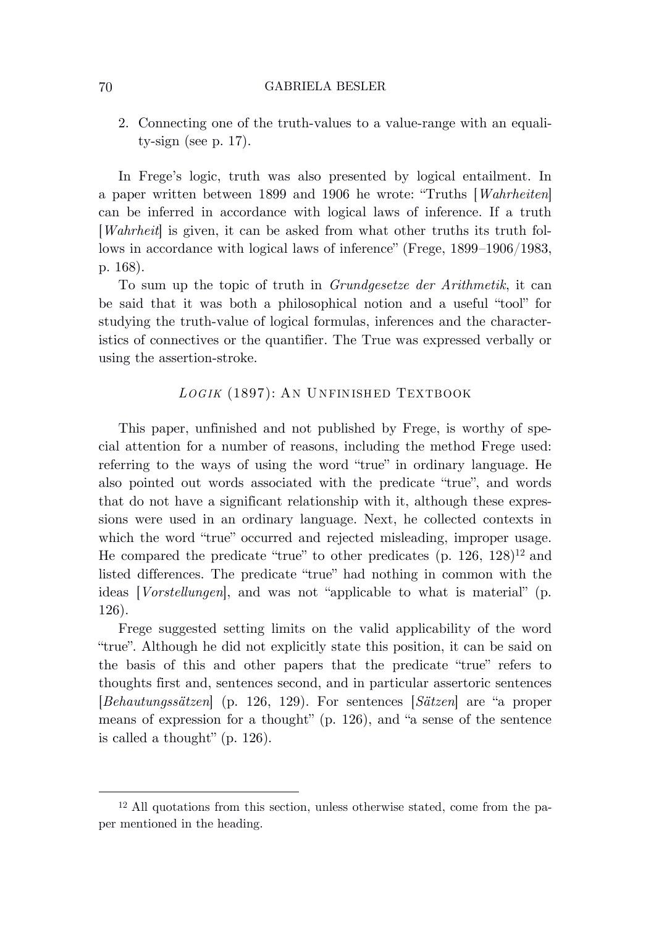2. Connecting one of the truth-values to a value-range with an equality-sign (see p. 17).

In Frege's logic, truth was also presented by logical entailment. In a paper written between 1899 and 1906 he wrote: "Truths [*Wahrheiten*] can be inferred in accordance with logical laws of inference. If a truth [*Wahrheit*] is given, it can be asked from what other truths its truth follows in accordance with logical laws of inference" (Frege, 1899–1906/1983, p. 168).

To sum up the topic of truth in *Grundgesetze der Arithmetik*, it can be said that it was both a philosophical notion and a useful "tool" for studying the truth-value of logical formulas, inferences and the characteristics of connectives or the quantifier. The True was expressed verbally or using the assertion-stroke.

# *LOG IK* (1897): AN U NFINISHED TEXTBOOK

This paper, unfinished and not published by Frege, is worthy of special attention for a number of reasons, including the method Frege used: referring to the ways of using the word "true" in ordinary language. He also pointed out words associated with the predicate "true", and words that do not have a significant relationship with it, although these expressions were used in an ordinary language. Next, he collected contexts in which the word "true" occurred and rejected misleading, improper usage. He compared the predicate "true" to other predicates  $(p. 126, 128)^{12}$  and listed differences. The predicate "true" had nothing in common with the ideas [*Vorstellungen*], and was not "applicable to what is material" (p. 126).

Frege suggested setting limits on the valid applicability of the word "true". Although he did not explicitly state this position, it can be said on the basis of this and other papers that the predicate "true" refers to thoughts first and, sentences second, and in particular assertoric sentences [*Behautungssätzen*] (p. 126, 129). For sentences [*Sätzen*] are "a proper means of expression for a thought" (p. 126), and "a sense of the sentence is called a thought" (p. 126).

<sup>12</sup> All quotations from this section, unless otherwise stated, come from the paper mentioned in the heading.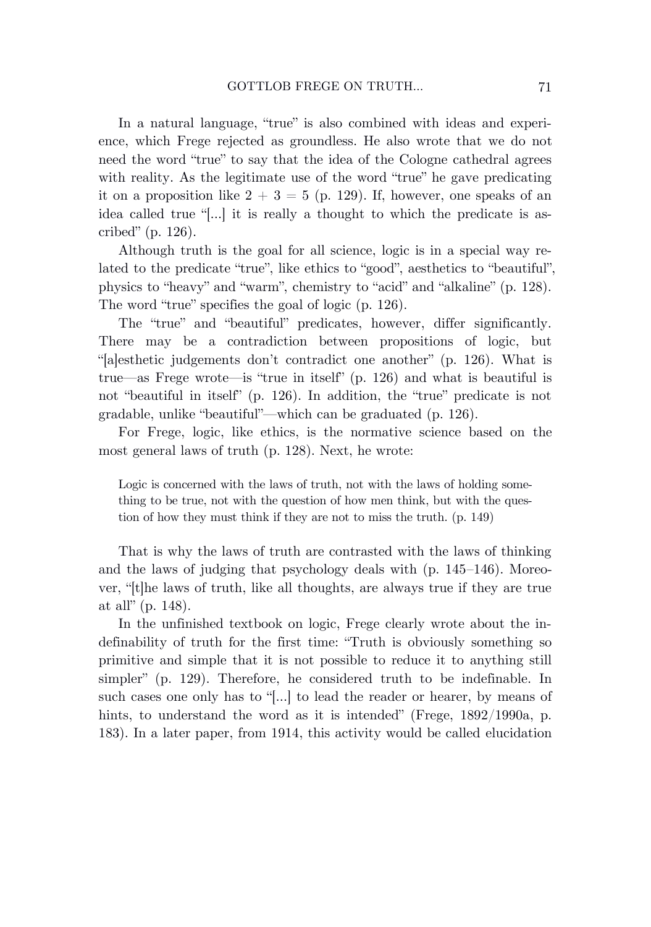In a natural language, "true" is also combined with ideas and experience, which Frege rejected as groundless. He also wrote that we do not need the word "true" to say that the idea of the Cologne cathedral agrees with reality. As the legitimate use of the word "true" he gave predicating it on a proposition like  $2 + 3 = 5$  (p. 129). If, however, one speaks of an idea called true "[…] it is really a thought to which the predicate is ascribed" (p. 126).

Although truth is the goal for all science, logic is in a special way related to the predicate "true", like ethics to "good", aesthetics to "beautiful", physics to "heavy" and "warm", chemistry to "acid" and "alkaline" (p. 128). The word "true" specifies the goal of logic (p. 126).

The "true" and "beautiful" predicates, however, differ significantly. There may be a contradiction between propositions of logic, but "[a]esthetic judgements don't contradict one another" (p. 126). What is true—as Frege wrote—is "true in itself" (p. 126) and what is beautiful is not "beautiful in itself" (p. 126). In addition, the "true" predicate is not gradable, unlike "beautiful"—which can be graduated (p. 126).

For Frege, logic, like ethics, is the normative science based on the most general laws of truth (p. 128). Next, he wrote:

Logic is concerned with the laws of truth, not with the laws of holding something to be true, not with the question of how men think, but with the question of how they must think if they are not to miss the truth. (p. 149)

That is why the laws of truth are contrasted with the laws of thinking and the laws of judging that psychology deals with (p. 145–146). Moreover, "[t]he laws of truth, like all thoughts, are always true if they are true at all" (p. 148).

In the unfinished textbook on logic, Frege clearly wrote about the indefinability of truth for the first time: "Truth is obviously something so primitive and simple that it is not possible to reduce it to anything still simpler" (p. 129). Therefore, he considered truth to be indefinable. In such cases one only has to "[…] to lead the reader or hearer, by means of hints, to understand the word as it is intended" (Frege, 1892/1990a, p. 183). In a later paper, from 1914, this activity would be called elucidation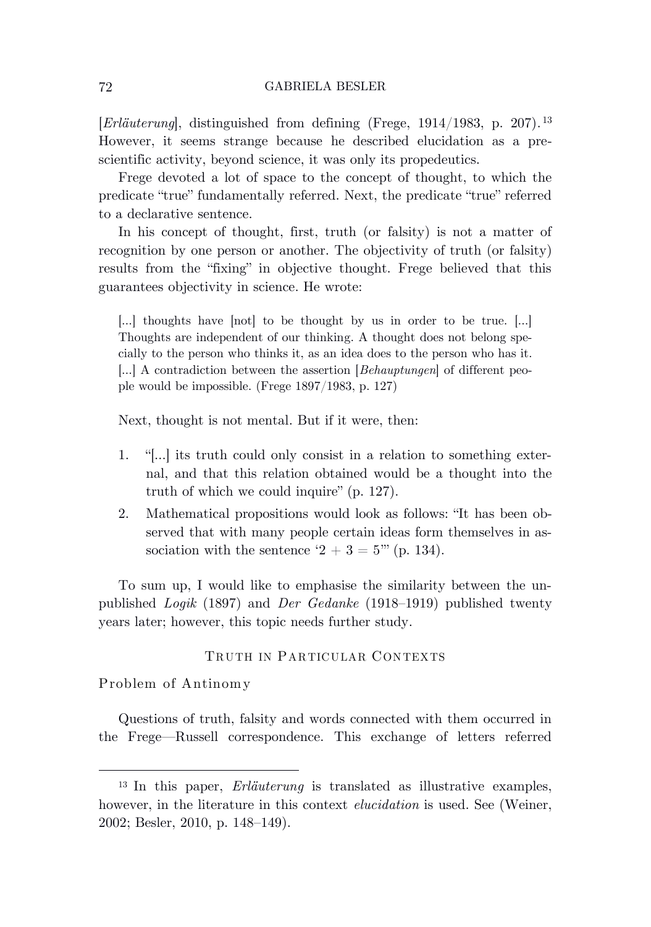[*Erläuterung*], distinguished from defining (Frege, 1914/1983, p. 207). 13 However, it seems strange because he described elucidation as a prescientific activity, beyond science, it was only its propedeutics.

Frege devoted a lot of space to the concept of thought, to which the predicate "true" fundamentally referred. Next, the predicate "true" referred to a declarative sentence.

In his concept of thought, first, truth (or falsity) is not a matter of recognition by one person or another. The objectivity of truth (or falsity) results from the "fixing" in objective thought. Frege believed that this guarantees objectivity in science. He wrote:

[…] thoughts have [not] to be thought by us in order to be true. […] Thoughts are independent of our thinking. A thought does not belong specially to the person who thinks it, as an idea does to the person who has it. […] A contradiction between the assertion [*Behauptungen*] of different people would be impossible. (Frege 1897/1983, p. 127)

Next, thought is not mental. But if it were, then:

- 1. "[…] its truth could only consist in a relation to something external, and that this relation obtained would be a thought into the truth of which we could inquire" (p. 127).
- 2. Mathematical propositions would look as follows: "It has been observed that with many people certain ideas form themselves in association with the sentence '2 + 3 = 5"' (p. 134).

To sum up, I would like to emphasise the similarity between the unpublished *Logik* (1897) and *Der Gedanke* (1918–1919) published twenty years later; however, this topic needs further study.

# TRUTH IN PARTICULAR CONTEXTS

Problem of Antinomy

Questions of truth, falsity and words connected with them occurred in the Frege—Russell correspondence. This exchange of letters referred

<sup>13</sup> In this paper, *Erläuterung* is translated as illustrative examples, however, in the literature in this context *elucidation* is used. See (Weiner, 2002; Besler, 2010, p. 148–149).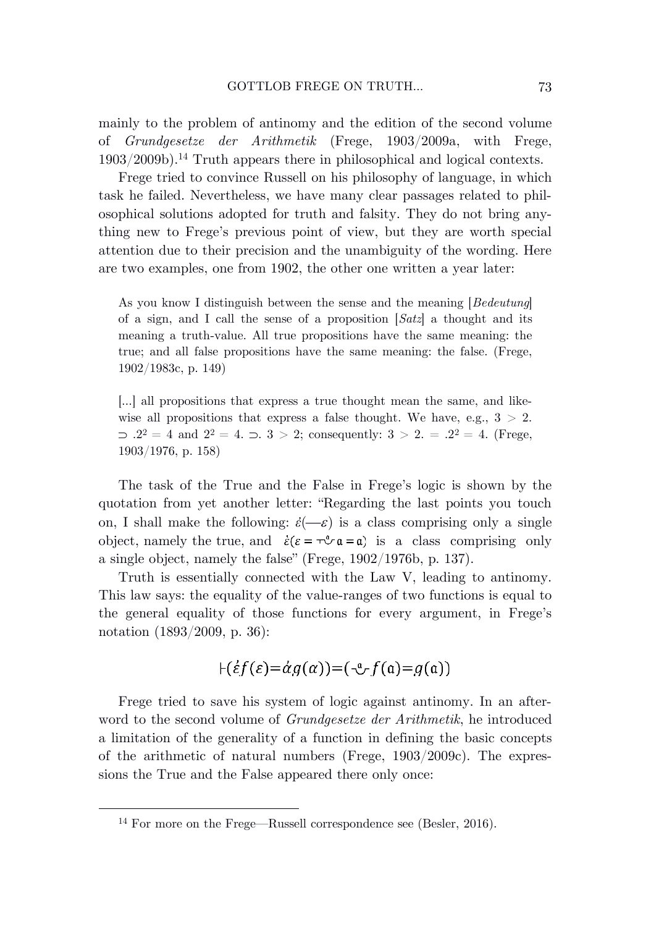mainly to the problem of antinomy and the edition of the second volume of *Grundgesetze der Arithmetik* (Frege, 1903/2009a, with Frege, 1903/2009b). <sup>14</sup> Truth appears there in philosophical and logical contexts.

Frege tried to convince Russell on his philosophy of language, in which task he failed. Nevertheless, we have many clear passages related to philosophical solutions adopted for truth and falsity. They do not bring anything new to Frege's previous point of view, but they are worth special attention due to their precision and the unambiguity of the wording. Here are two examples, one from 1902, the other one written a year later:

As you know I distinguish between the sense and the meaning [*Bedeutung*] of a sign, and I call the sense of a proposition [*Satz*] a thought and its meaning a truth-value. All true propositions have the same meaning: the true; and all false propositions have the same meaning: the false. (Frege, 1902/1983c, p. 149)

[…] all propositions that express a true thought mean the same, and likewise all propositions that express a false thought. We have, e.g.,  $3 > 2$ .  $2^2 = 4$  and  $2^2 = 4$ .  $\supset 3 > 2$ ; consequently:  $3 > 2$ .  $= .2^2 = 4$ . (Frege, 1903/1976, p. 158)

The task of the True and the False in Frege's logic is shown by the quotation from yet another letter: "Regarding the last points you touch on, I shall make the following:  $\acute{\epsilon}(-\epsilon)$  is a class comprising only a single object, namely the true, and  $\dot{\varepsilon}(\varepsilon = \tau^2 \cdot \mathfrak{a} = \mathfrak{a})$  is a class comprising only a single object, namely the false" (Frege, 1902/1976b, p. 137).

Truth is essentially connected with the Law V, leading to antinomy. This law says: the equality of the value-ranges of two functions is equal to the general equality of those functions for every argument, in Frege's notation (1893/2009, p. 36):

$$
\vdash (\acute{e}f(\epsilon) = \acute{a}g(\alpha)) = (\neg f(\mathfrak{a}) = g(\mathfrak{a}))
$$

Frege tried to save his system of logic against antinomy. In an afterword to the second volume of *Grundgesetze der Arithmetik*, he introduced a limitation of the generality of a function in defining the basic concepts of the arithmetic of natural numbers (Frege, 1903/2009c). The expressions the True and the False appeared there only once:

<sup>14</sup> For more on the Frege—Russell correspondence see (Besler, 2016).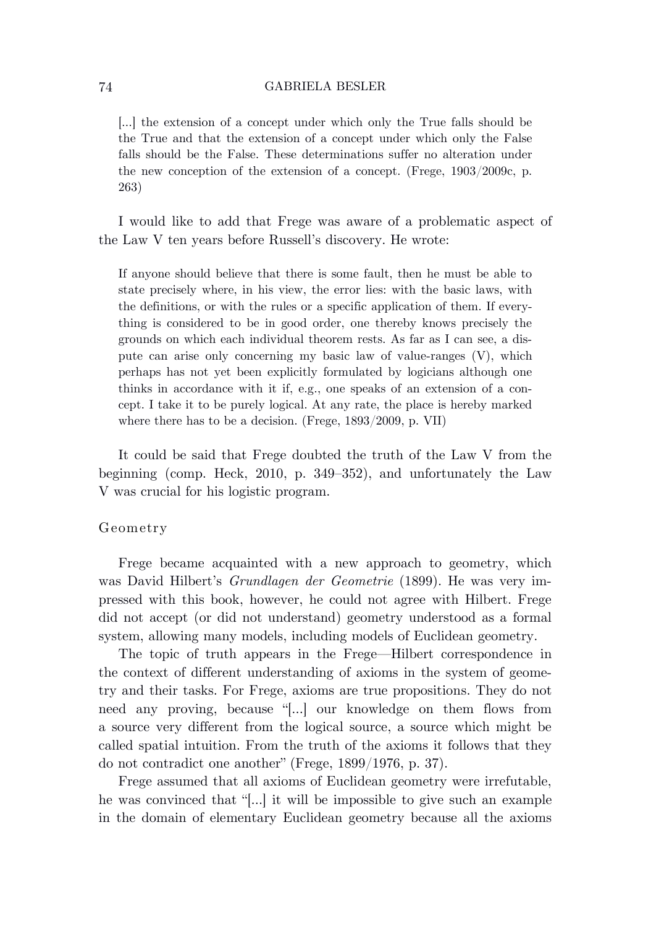[…] the extension of a concept under which only the True falls should be the True and that the extension of a concept under which only the False falls should be the False. These determinations suffer no alteration under the new conception of the extension of a concept. (Frege, 1903/2009c, p. 263)

I would like to add that Frege was aware of a problematic aspect of the Law V ten years before Russell's discovery. He wrote:

If anyone should believe that there is some fault, then he must be able to state precisely where, in his view, the error lies: with the basic laws, with the definitions, or with the rules or a specific application of them. If everything is considered to be in good order, one thereby knows precisely the grounds on which each individual theorem rests. As far as I can see, a dispute can arise only concerning my basic law of value-ranges (V), which perhaps has not yet been explicitly formulated by logicians although one thinks in accordance with it if, e.g., one speaks of an extension of a concept. I take it to be purely logical. At any rate, the place is hereby marked where there has to be a decision. (Frege, 1893/2009, p. VII)

It could be said that Frege doubted the truth of the Law V from the beginning (comp. Heck, 2010, p. 349–352), and unfortunately the Law V was crucial for his logistic program.

### Geometry

Frege became acquainted with a new approach to geometry, which was David Hilbert's *Grundlagen der Geometrie* (1899). He was very impressed with this book, however, he could not agree with Hilbert. Frege did not accept (or did not understand) geometry understood as a formal system, allowing many models, including models of Euclidean geometry.

The topic of truth appears in the Frege—Hilbert correspondence in the context of different understanding of axioms in the system of geometry and their tasks. For Frege, axioms are true propositions. They do not need any proving, because "[…] our knowledge on them flows from a source very different from the logical source, a source which might be called spatial intuition. From the truth of the axioms it follows that they do not contradict one another" (Frege, 1899/1976, p. 37).

Frege assumed that all axioms of Euclidean geometry were irrefutable, he was convinced that "[…] it will be impossible to give such an example in the domain of elementary Euclidean geometry because all the axioms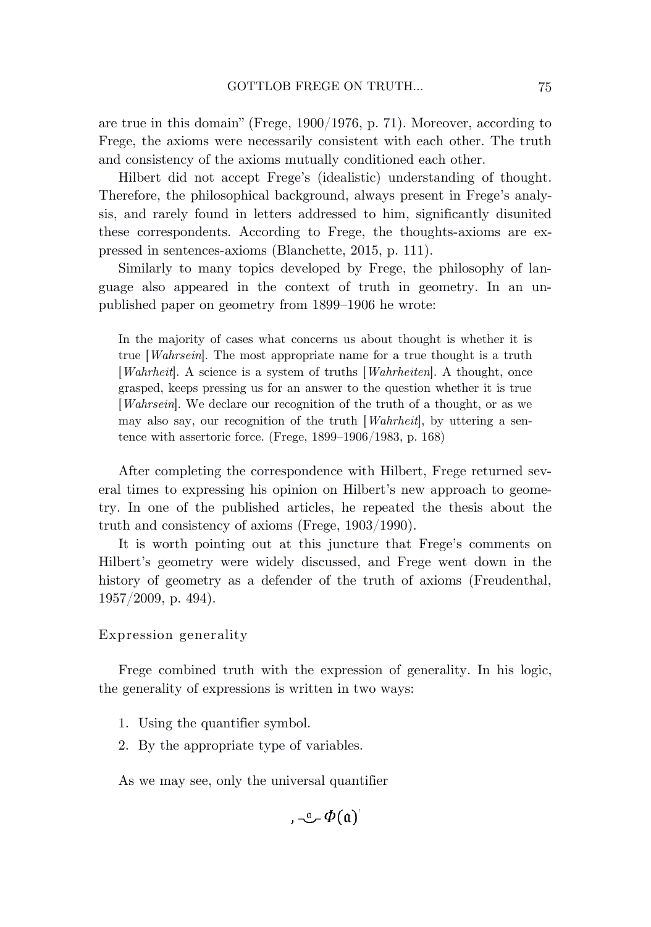are true in this domain" (Frege, 1900/1976, p. 71). Moreover, according to Frege, the axioms were necessarily consistent with each other. The truth and consistency of the axioms mutually conditioned each other.

Hilbert did not accept Frege's (idealistic) understanding of thought. Therefore, the philosophical background, always present in Frege's analysis, and rarely found in letters addressed to him, significantly disunited these correspondents. According to Frege, the thoughts-axioms are expressed in sentences-axioms (Blanchette, 2015, p. 111).

Similarly to many topics developed by Frege, the philosophy of language also appeared in the context of truth in geometry. In an unpublished paper on geometry from 1899–1906 he wrote:

In the majority of cases what concerns us about thought is whether it is true [*Wahrsein*]. The most appropriate name for a true thought is a truth [*Wahrheit*]. A science is a system of truths [*Wahrheiten*]. A thought, once grasped, keeps pressing us for an answer to the question whether it is true [*Wahrsein*]. We declare our recognition of the truth of a thought, or as we may also say, our recognition of the truth [*Wahrheit*], by uttering a sentence with assertoric force. (Frege, 1899–1906/1983, p. 168)

After completing the correspondence with Hilbert, Frege returned several times to expressing his opinion on Hilbert's new approach to geometry. In one of the published articles, he repeated the thesis about the truth and consistency of axioms (Frege, 1903/1990).

It is worth pointing out at this juncture that Frege's comments on Hilbert's geometry were widely discussed, and Frege went down in the history of geometry as a defender of the truth of axioms (Freudenthal, 1957/2009, p. 494).

Expression generality

Frege combined truth with the expression of generality. In his logic, the generality of expressions is written in two ways:

- 1. Using the quantifier symbol.
- 2. By the appropriate type of variables.

As we may see, only the universal quantifier

 $\int_{a}$   $-\alpha$   $\Phi(a)$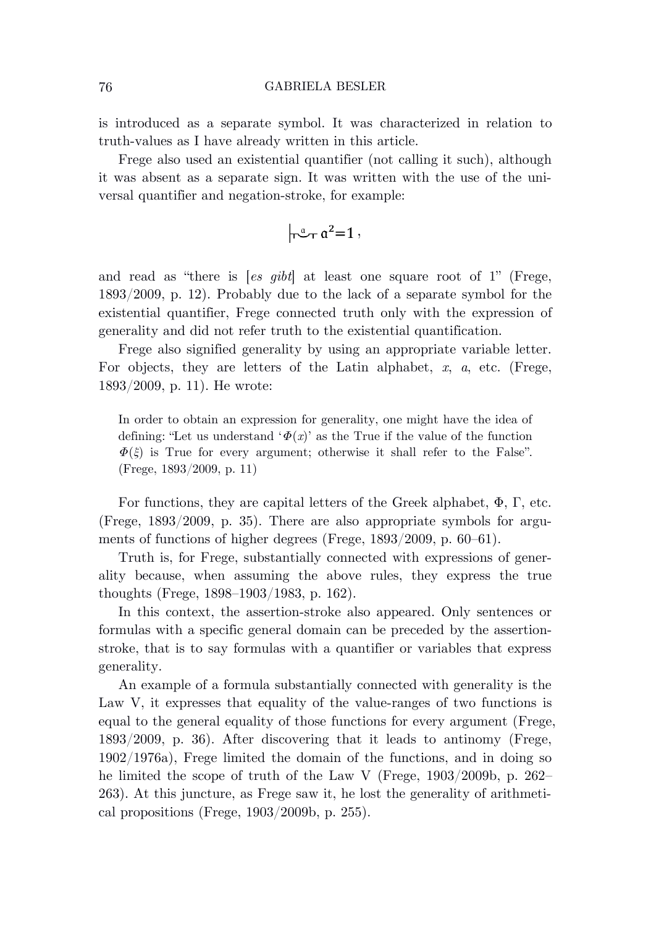is introduced as a separate symbol. It was characterized in relation to truth-values as I have already written in this article.

Frege also used an existential quantifier (not calling it such), although it was absent as a separate sign. It was written with the use of the universal quantifier and negation-stroke, for example:

$$
\left| \vec{u} - \vec{u}^2 = 1 \right|,
$$

and read as "there is [*es gibt*] at least one square root of 1" (Frege, 1893/2009, p. 12). Probably due to the lack of a separate symbol for the existential quantifier, Frege connected truth only with the expression of generality and did not refer truth to the existential quantification.

Frege also signified generality by using an appropriate variable letter. For objects, they are letters of the Latin alphabet, *x*, *a*, etc. (Frege, 1893/2009, p. 11). He wrote:

In order to obtain an expression for generality, one might have the idea of defining: "Let us understand ' $\Phi(x)$ ' as the True if the value of the function  $\Phi(\xi)$  is True for every argument; otherwise it shall refer to the False". (Frege, 1893/2009, p. 11)

For functions, they are capital letters of the Greek alphabet,  $\Phi$ ,  $\Gamma$ , etc. (Frege, 1893/2009, p. 35). There are also appropriate symbols for arguments of functions of higher degrees (Frege, 1893/2009, p. 60–61).

Truth is, for Frege, substantially connected with expressions of generality because, when assuming the above rules, they express the true thoughts (Frege, 1898–1903/1983, p. 162).

In this context, the assertion-stroke also appeared. Only sentences or formulas with a specific general domain can be preceded by the assertionstroke, that is to say formulas with a quantifier or variables that express generality.

An example of a formula substantially connected with generality is the Law V, it expresses that equality of the value-ranges of two functions is equal to the general equality of those functions for every argument (Frege, 1893/2009, p. 36). After discovering that it leads to antinomy (Frege, 1902/1976a), Frege limited the domain of the functions, and in doing so he limited the scope of truth of the Law V (Frege, 1903/2009b, p. 262– 263). At this juncture, as Frege saw it, he lost the generality of arithmetical propositions (Frege, 1903/2009b, p. 255).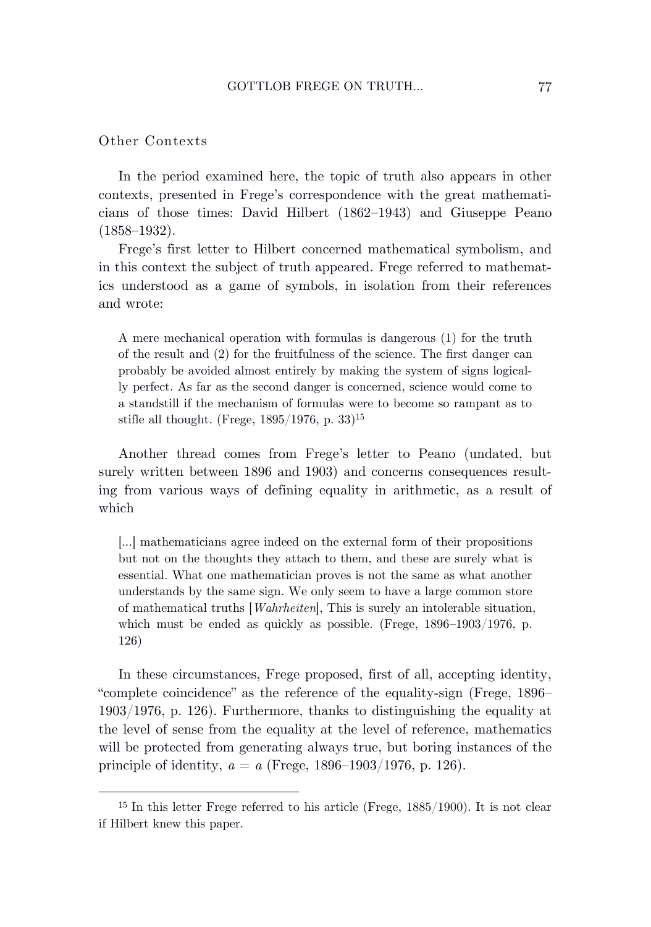# Other Contexts

In the period examined here, the topic of truth also appears in other contexts, presented in Frege's correspondence with the great mathematicians of those times: David Hilbert (1862–1943) and Giuseppe Peano (1858–1932).

Frege's first letter to Hilbert concerned mathematical symbolism, and in this context the subject of truth appeared. Frege referred to mathematics understood as a game of symbols, in isolation from their references and wrote:

A mere mechanical operation with formulas is dangerous (1) for the truth of the result and (2) for the fruitfulness of the science. The first danger can probably be avoided almost entirely by making the system of signs logically perfect. As far as the second danger is concerned, science would come to a standstill if the mechanism of formulas were to become so rampant as to stifle all thought. (Frege, 1895/1976, p. 33)<sup>15</sup>

Another thread comes from Frege's letter to Peano (undated, but surely written between 1896 and 1903) and concerns consequences resulting from various ways of defining equality in arithmetic, as a result of which

[…] mathematicians agree indeed on the external form of their propositions but not on the thoughts they attach to them, and these are surely what is essential. What one mathematician proves is not the same as what another understands by the same sign. We only seem to have a large common store of mathematical truths [*Wahrheiten*], This is surely an intolerable situation, which must be ended as quickly as possible. (Frege, 1896–1903/1976, p. 126)

In these circumstances, Frege proposed, first of all, accepting identity, "complete coincidence" as the reference of the equality-sign (Frege, 1896– 1903/1976, p. 126). Furthermore, thanks to distinguishing the equality at the level of sense from the equality at the level of reference, mathematics will be protected from generating always true, but boring instances of the principle of identity, *a* = *a* (Frege, 1896–1903/1976, p. 126).

<sup>15</sup> In this letter Frege referred to his article (Frege, 1885/1900). It is not clear if Hilbert knew this paper.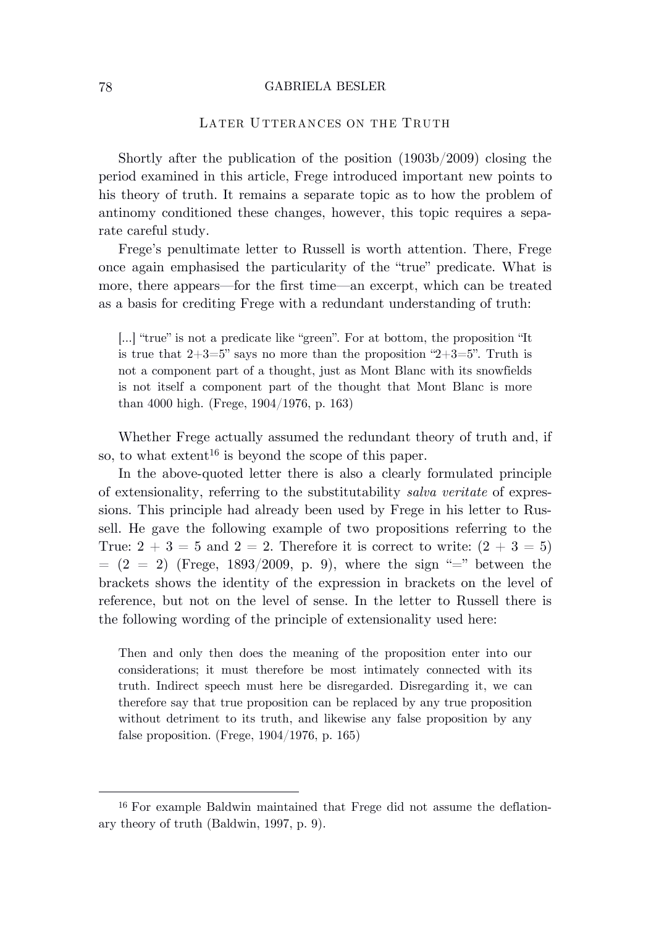# LATER UTTERANCES ON THE TRUTH

Shortly after the publication of the position (1903b/2009) closing the period examined in this article, Frege introduced important new points to his theory of truth. It remains a separate topic as to how the problem of antinomy conditioned these changes, however, this topic requires a separate careful study.

Frege's penultimate letter to Russell is worth attention. There, Frege once again emphasised the particularity of the "true" predicate. What is more, there appears—for the first time—an excerpt, which can be treated as a basis for crediting Frege with a redundant understanding of truth:

[…] "true" is not a predicate like "green". For at bottom, the proposition "It is true that  $2+3=5$ " says no more than the proposition " $2+3=5$ ". Truth is not a component part of a thought, just as Mont Blanc with its snowfields is not itself a component part of the thought that Mont Blanc is more than 4000 high. (Frege, 1904/1976, p. 163)

Whether Frege actually assumed the redundant theory of truth and, if so, to what extent<sup>16</sup> is beyond the scope of this paper.

In the above-quoted letter there is also a clearly formulated principle of extensionality, referring to the substitutability *salva veritate* of expressions. This principle had already been used by Frege in his letter to Russell. He gave the following example of two propositions referring to the True:  $2 + 3 = 5$  and  $2 = 2$ . Therefore it is correct to write:  $(2 + 3 = 5)$  $= (2 = 2)$  (Frege, 1893/2009, p. 9), where the sign "=" between the brackets shows the identity of the expression in brackets on the level of reference, but not on the level of sense. In the letter to Russell there is the following wording of the principle of extensionality used here:

Then and only then does the meaning of the proposition enter into our considerations; it must therefore be most intimately connected with its truth. Indirect speech must here be disregarded. Disregarding it, we can therefore say that true proposition can be replaced by any true proposition without detriment to its truth, and likewise any false proposition by any false proposition. (Frege, 1904/1976, p. 165)

<sup>16</sup> For example Baldwin maintained that Frege did not assume the deflationary theory of truth (Baldwin, 1997, p. 9).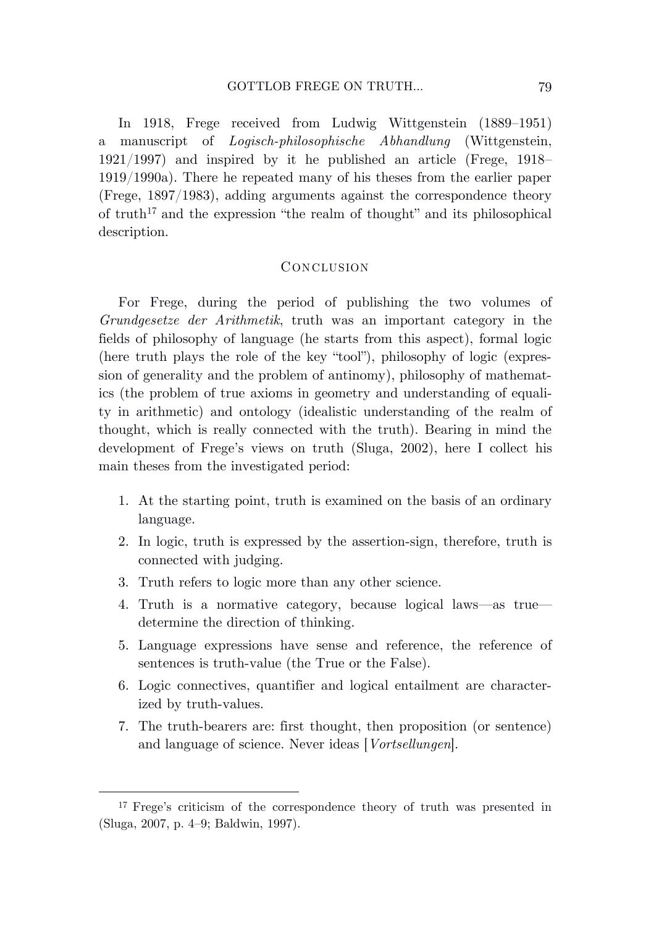In 1918, Frege received from Ludwig Wittgenstein (1889–1951) a manuscript of *Logisch-philosophische Abhandlung* (Wittgenstein, 1921/1997) and inspired by it he published an article (Frege, 1918– 1919/1990a). There he repeated many of his theses from the earlier paper (Frege, 1897/1983), adding arguments against the correspondence theory of truth<sup>17</sup> and the expression "the realm of thought" and its philosophical description.

# **CONCLUSION**

For Frege, during the period of publishing the two volumes of *Grundgesetze der Arithmetik*, truth was an important category in the fields of philosophy of language (he starts from this aspect), formal logic (here truth plays the role of the key "tool"), philosophy of logic (expression of generality and the problem of antinomy), philosophy of mathematics (the problem of true axioms in geometry and understanding of equality in arithmetic) and ontology (idealistic understanding of the realm of thought, which is really connected with the truth). Bearing in mind the development of Frege's views on truth (Sluga, 2002), here I collect his main theses from the investigated period:

- 1. At the starting point, truth is examined on the basis of an ordinary language.
- 2. In logic, truth is expressed by the assertion-sign, therefore, truth is connected with judging.
- 3. Truth refers to logic more than any other science.
- 4. Truth is a normative category, because logical laws—as true determine the direction of thinking.
- 5. Language expressions have sense and reference, the reference of sentences is truth-value (the True or the False).
- 6. Logic connectives, quantifier and logical entailment are characterized by truth-values.
- 7. The truth-bearers are: first thought, then proposition (or sentence) and language of science. Never ideas [*Vortsellungen*].

<sup>17</sup> Frege's criticism of the correspondence theory of truth was presented in (Sluga, 2007, p. 4–9; Baldwin, 1997).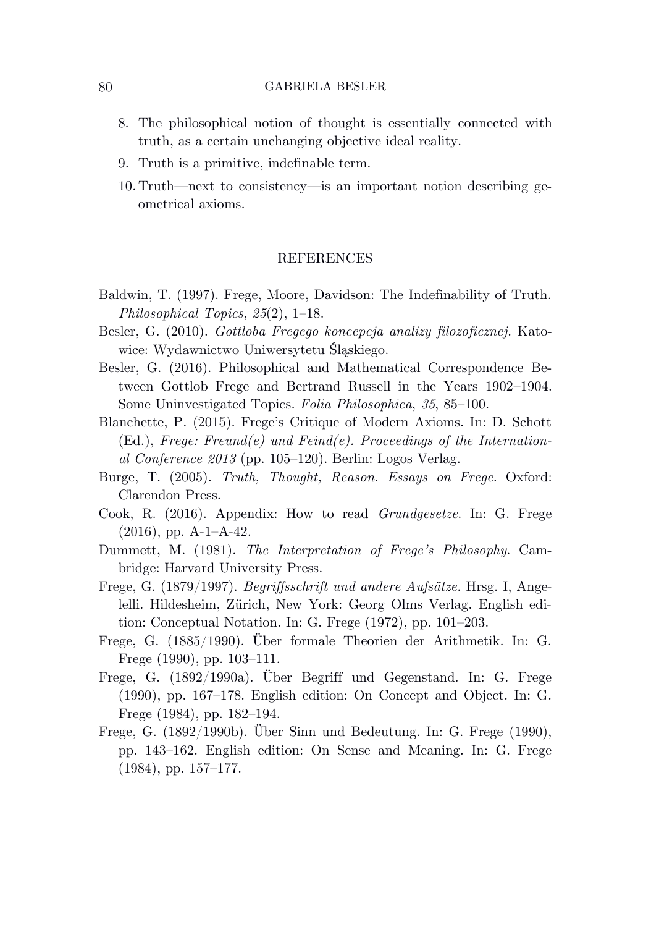- 8. The philosophical notion of thought is essentially connected with truth, as a certain unchanging objective ideal reality.
- 9. Truth is a primitive, indefinable term.
- 10. Truth—next to consistency—is an important notion describing geometrical axioms.

# **REFERENCES**

- Baldwin, T. (1997). Frege, Moore, Davidson: The Indefinability of Truth. *Philosophical Topics*, *25*(2), 1–18.
- Besler, G. (2010). *Gottloba Fregego koncepcja analizy filozoficznej*. Katowice: Wydawnictwo Uniwersytetu Śląskiego.
- Besler, G. (2016). Philosophical and Mathematical Correspondence Between Gottlob Frege and Bertrand Russell in the Years 1902–1904. Some Uninvestigated Topics. *Folia Philosophica*, *35*, 85–100.
- Blanchette, P. (2015). Frege's Critique of Modern Axioms. In: D. Schott (Ed.), *Frege: Freund(e) und Feind(e). Proceedings of the International Conference 2013* (pp. 105–120). Berlin: Logos Verlag.
- Burge, T. (2005). *Truth, Thought, Reason. Essays on Frege*. Oxford: Clarendon Press.
- Cook, R. (2016). Appendix: How to read *Grundgesetze*. In: G. Frege (2016), pp. A-1–A-42.
- Dummett, M. (1981). *The Interpretation of Frege's Philosophy*. Cambridge: Harvard University Press.
- Frege, G. (1879/1997). *Begriffsschrift und andere Aufsätze*. Hrsg. I, Angelelli. Hildesheim, Zürich, New York: Georg Olms Verlag. English edition: Conceptual Notation. In: G. Frege (1972), pp. 101–203.
- Frege, G. (1885/1990). Über formale Theorien der Arithmetik. In: G. Frege (1990), pp. 103–111.
- Frege, G. (1892/1990a). Über Begriff und Gegenstand. In: G. Frege (1990), pp. 167–178. English edition: On Concept and Object. In: G. Frege (1984), pp. 182–194.
- Frege, G. (1892/1990b). Über Sinn und Bedeutung. In: G. Frege (1990), pp. 143–162. English edition: On Sense and Meaning. In: G. Frege (1984), pp. 157–177.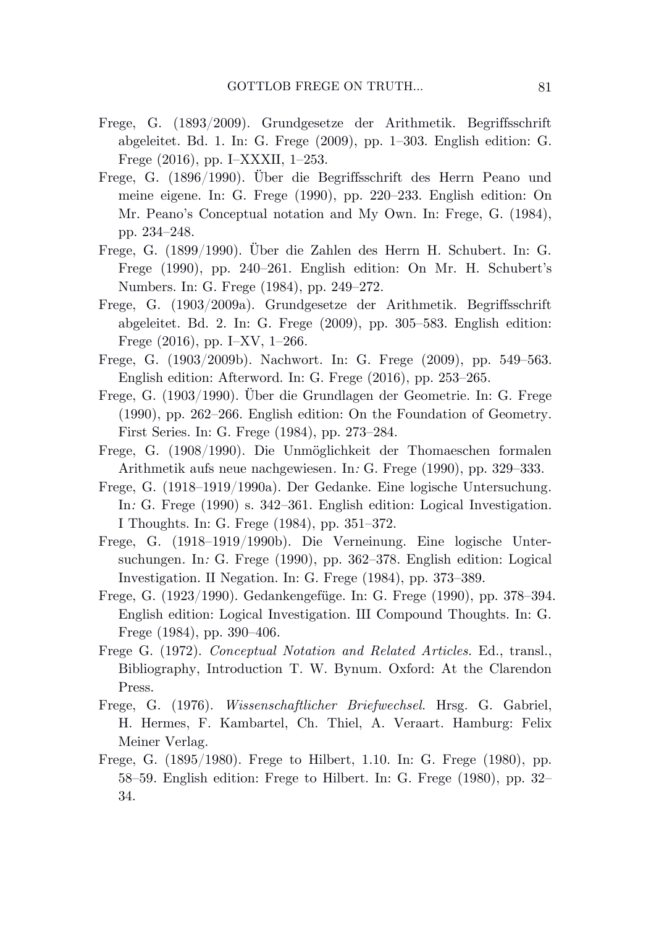- Frege, G. (1893/2009). Grundgesetze der Arithmetik. Begriffsschrift abgeleitet. Bd. 1. In: G. Frege (2009), pp. 1–303. English edition: G. Frege (2016), pp. I–XXXII, 1–253.
- Frege, G. (1896/1990). Über die Begriffsschrift des Herrn Peano und meine eigene. In: G. Frege (1990), pp. 220–233. English edition: On Mr. Peano's Conceptual notation and My Own. In: Frege, G. (1984), pp. 234–248.
- Frege, G. (1899/1990). Über die Zahlen des Herrn H. Schubert. In: G. Frege (1990), pp. 240–261. English edition: On Mr. H. Schubert's Numbers. In: G. Frege (1984), pp. 249–272.
- Frege, G. (1903/2009a). Grundgesetze der Arithmetik. Begriffsschrift abgeleitet. Bd. 2. In: G. Frege (2009), pp. 305–583. English edition: Frege (2016), pp. I–XV, 1–266.
- Frege, G. (1903/2009b). Nachwort. In: G. Frege (2009), pp. 549–563. English edition: Afterword. In: G. Frege (2016), pp. 253–265.
- Frege, G. (1903/1990). Über die Grundlagen der Geometrie. In: G. Frege (1990), pp. 262–266. English edition: On the Foundation of Geometry. First Series. In: G. Frege (1984), pp. 273–284.
- Frege, G. (1908/1990). Die Unmöglichkeit der Thomaeschen formalen Arithmetik aufs neue nachgewiesen*.* In*:* G. Frege (1990), pp. 329–333.
- Frege, G. (1918–1919/1990a). Der Gedanke. Eine logische Untersuchung*.*  In*:* G. Frege (1990) s. 342–361. English edition: Logical Investigation. I Thoughts. In: G. Frege (1984), pp. 351–372.
- Frege, G. (1918–1919/1990b). Die Verneinung. Eine logische Untersuchungen*.* In*:* G. Frege (1990), pp. 362–378. English edition: Logical Investigation. II Negation. In: G. Frege (1984), pp. 373–389.
- Frege, G. (1923/1990). Gedankengefüge. In: G. Frege (1990), pp. 378–394. English edition: Logical Investigation. III Compound Thoughts. In: G. Frege (1984), pp. 390–406.
- Frege G. (1972). *Conceptual Notation and Related Articles*. Ed., transl., Bibliography, Introduction T. W. Bynum. Oxford: At the Clarendon Press.
- Frege, G. (1976). *Wissenschaftlicher Briefwechsel*. Hrsg. G. Gabriel, H. Hermes, F. Kambartel, Ch. Thiel, A. Veraart. Hamburg: Felix Meiner Verlag.
- Frege, G. (1895/1980). Frege to Hilbert, 1.10. In: G. Frege (1980), pp. 58–59. English edition: Frege to Hilbert. In: G. Frege (1980), pp. 32– 34.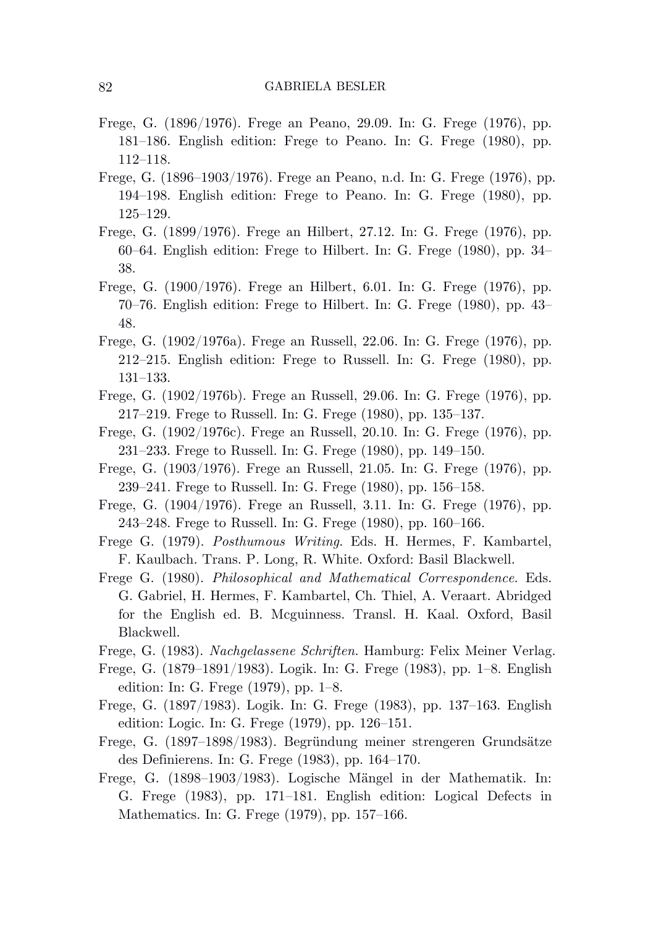- Frege, G. (1896/1976). Frege an Peano, 29.09. In: G. Frege (1976), pp. 181–186. English edition: Frege to Peano. In: G. Frege (1980), pp. 112–118.
- Frege, G. (1896–1903/1976). Frege an Peano, n.d. In: G. Frege (1976), pp. 194–198. English edition: Frege to Peano. In: G. Frege (1980), pp. 125–129.
- Frege, G. (1899/1976). Frege an Hilbert, 27.12. In: G. Frege (1976), pp. 60–64. English edition: Frege to Hilbert. In: G. Frege (1980), pp. 34– 38.
- Frege, G. (1900/1976). Frege an Hilbert, 6.01. In: G. Frege (1976), pp. 70–76. English edition: Frege to Hilbert. In: G. Frege (1980), pp. 43– 48.
- Frege, G. (1902/1976a). Frege an Russell, 22.06. In: G. Frege (1976), pp. 212–215. English edition: Frege to Russell. In: G. Frege (1980), pp. 131–133.
- Frege, G. (1902/1976b). Frege an Russell, 29.06. In: G. Frege (1976), pp. 217–219. Frege to Russell. In: G. Frege (1980), pp. 135–137.
- Frege, G. (1902/1976c). Frege an Russell, 20.10. In: G. Frege (1976), pp. 231–233. Frege to Russell. In: G. Frege (1980), pp. 149–150.
- Frege, G. (1903/1976). Frege an Russell, 21.05. In: G. Frege (1976), pp. 239–241. Frege to Russell. In: G. Frege (1980), pp. 156–158.
- Frege, G. (1904/1976). Frege an Russell, 3.11. In: G. Frege (1976), pp. 243–248. Frege to Russell. In: G. Frege (1980), pp. 160–166.
- Frege G. (1979). *Posthumous Writing*. Eds. H. Hermes, F. Kambartel, F. Kaulbach. Trans. P. Long, R. White. Oxford: Basil Blackwell.
- Frege G. (1980). *Philosophical and Mathematical Correspondence*. Eds. G. Gabriel, H. Hermes, F. Kambartel, Ch. Thiel, A. Veraart. Abridged for the English ed. B. Mcguinness. Transl. H. Kaal. Oxford, Basil Blackwell.
- Frege, G. (1983). *Nachgelassene Schriften*. Hamburg: Felix Meiner Verlag.
- Frege, G. (1879–1891/1983). Logik. In: G. Frege (1983), pp. 1–8. English edition: In: G. Frege (1979), pp. 1–8.
- Frege, G. (1897/1983). Logik. In: G. Frege (1983), pp. 137–163. English edition: Logic. In: G. Frege (1979), pp. 126–151.
- Frege, G. (1897–1898/1983). Begründung meiner strengeren Grundsätze des Definierens. In: G. Frege (1983), pp. 164–170.
- Frege, G. (1898–1903/1983). Logische Mängel in der Mathematik. In: G. Frege (1983), pp. 171–181. English edition: Logical Defects in Mathematics. In: G. Frege (1979), pp. 157–166.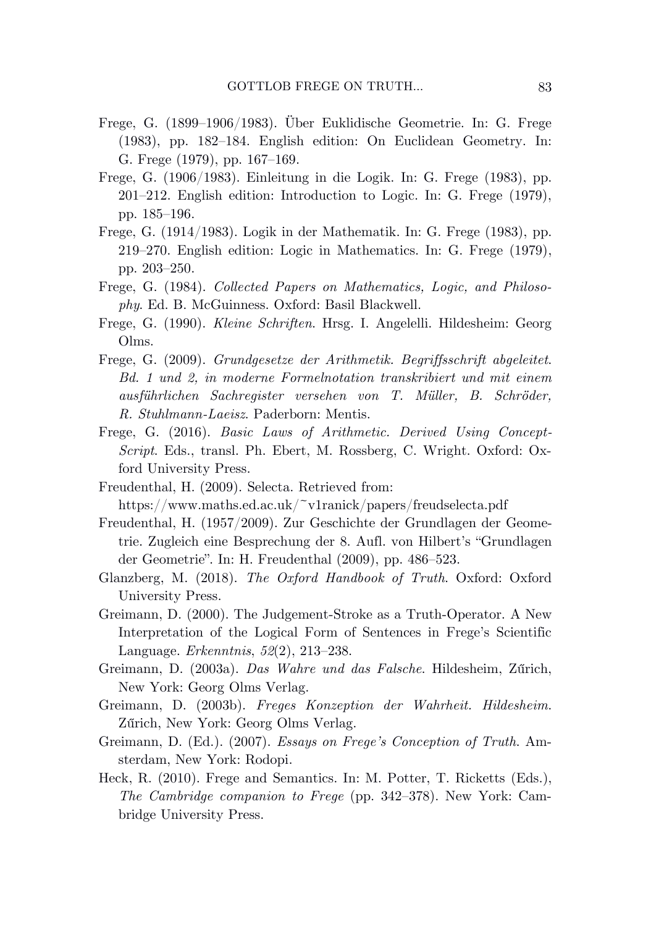- Frege, G. (1899–1906/1983). Über Euklidische Geometrie. In: G. Frege (1983), pp. 182–184. English edition: On Euclidean Geometry. In: G. Frege (1979), pp. 167–169.
- Frege, G. (1906/1983). Einleitung in die Logik. In: G. Frege (1983), pp. 201–212. English edition: Introduction to Logic. In: G. Frege (1979), pp. 185–196.
- Frege, G. (1914/1983). Logik in der Mathematik. In: G. Frege (1983), pp. 219–270. English edition: Logic in Mathematics. In: G. Frege (1979), pp. 203–250.
- Frege, G. (1984). *Collected Papers on Mathematics, Logic, and Philosophy*. Ed. B. McGuinness. Oxford: Basil Blackwell.
- Frege, G. (1990). *Kleine Schriften*. Hrsg. I. Angelelli. Hildesheim: Georg Olms.
- Frege, G. (2009). *Grundgesetze der Arithmetik. Begriffsschrift abgeleitet*. *Bd. 1 und 2, in moderne Formelnotation transkribiert und mit einem ausführlichen Sachregister versehen von T. Müller, B. Schröder, R. Stuhlmann-Laeisz*. Paderborn: Mentis.
- Frege, G. (2016). *Basic Laws of Arithmetic. Derived Using Concept-Script*. Eds., transl. Ph. Ebert, M. Rossberg, C. Wright. Oxford: Oxford University Press.
- Freudenthal, H. (2009). Selecta. Retrieved from:

- Freudenthal, H. (1957/2009). Zur Geschichte der Grundlagen der Geometrie. Zugleich eine Besprechung der 8. Aufl. von Hilbert's "Grundlagen der Geometrie". In: H. Freudenthal (2009), pp. 486–523.
- Glanzberg, M. (2018). *The Oxford Handbook of Truth*. Oxford: Oxford University Press.
- Greimann, D. (2000). The Judgement-Stroke as a Truth-Operator. A New Interpretation of the Logical Form of Sentences in Frege's Scientific Language. *Erkenntnis*, *52*(2), 213–238.
- Greimann, D. (2003a). *Das Wahre und das Falsche*. Hildesheim, Zűrich, New York: Georg Olms Verlag.
- Greimann, D. (2003b). *Freges Konzeption der Wahrheit. Hildesheim*. Zűrich, New York: Georg Olms Verlag.
- Greimann, D. (Ed.). (2007). *Essays on Frege's Conception of Truth*. Amsterdam, New York: Rodopi.
- Heck, R. (2010). Frege and Semantics. In: M. Potter, T. Ricketts (Eds.), *The Cambridge companion to Frege* (pp. 342–378). New York: Cambridge University Press.

https://www.maths.ed.ac.uk/~v1ranick/papers/freudselecta.pdf